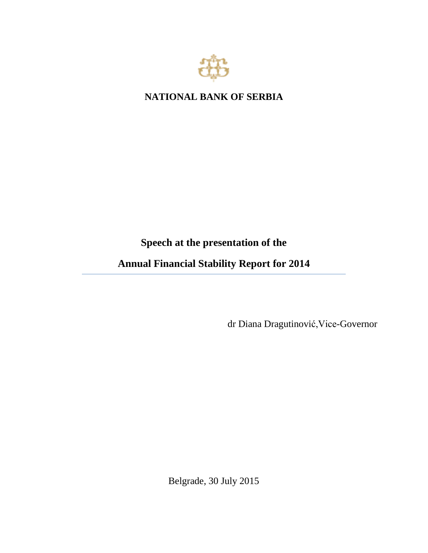

**NATIONAL BANK OF SERBIA**

# **Speech at the presentation of the**

**Annual Financial Stability Report for 2014** 

dr Diana Dragutinović,Vice-Governor

Belgrade, 30 July 2015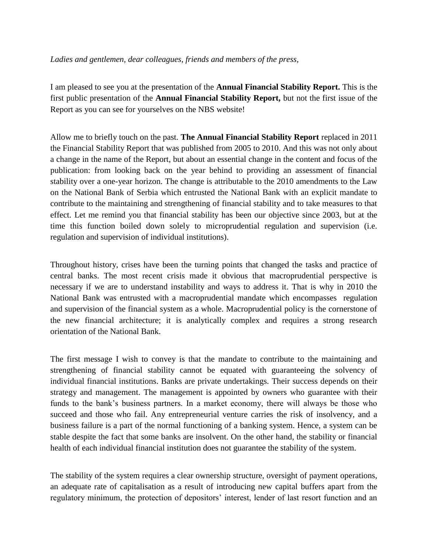## *Ladies and gentlemen, dear colleagues, friends and members of the press,*

I am pleased to see you at the presentation of the **Annual Financial Stability Report.** This is the first public presentation of the **Annual Financial Stability Report,** but not the first issue of the Report as you can see for yourselves on the NBS website!

Allow me to briefly touch on the past. **The Annual Financial Stability Report** replaced in 2011 the Financial Stability Report that was published from 2005 to 2010. And this was not only about a change in the name of the Report, but about an essential change in the content and focus of the publication: from looking back on the year behind to providing an assessment of financial stability over a one-year horizon. The change is attributable to the 2010 amendments to the Law on the National Bank of Serbia which entrusted the National Bank with an explicit mandate to contribute to the maintaining and strengthening of financial stability and to take measures to that effect. Let me remind you that financial stability has been our objective since 2003, but at the time this function boiled down solely to microprudential regulation and supervision (i.e. regulation and supervision of individual institutions).

Throughout history, crises have been the turning points that changed the tasks and practice of central banks. The most recent crisis made it obvious that macroprudential perspective is necessary if we are to understand instability and ways to address it. That is why in 2010 the National Bank was entrusted with a macroprudential mandate which encompasses regulation and supervision of the financial system as a whole. Macroprudential policy is the cornerstone of the new financial architecture; it is analytically complex and requires a strong research orientation of the National Bank.

The first message I wish to convey is that the mandate to contribute to the maintaining and strengthening of financial stability cannot be equated with guaranteeing the solvency of individual financial institutions. Banks are private undertakings. Their success depends on their strategy and management. The management is appointed by owners who guarantee with their funds to the bank's business partners. In a market economy, there will always be those who succeed and those who fail. Any entrepreneurial venture carries the risk of insolvency, and a business failure is a part of the normal functioning of a banking system. Hence, a system can be stable despite the fact that some banks are insolvent. On the other hand, the stability or financial health of each individual financial institution does not guarantee the stability of the system.

The stability of the system requires a clear ownership structure, oversight of payment operations, an adequate rate of capitalisation as a result of introducing new capital buffers apart from the regulatory minimum, the protection of depositors' interest, lender of last resort function and an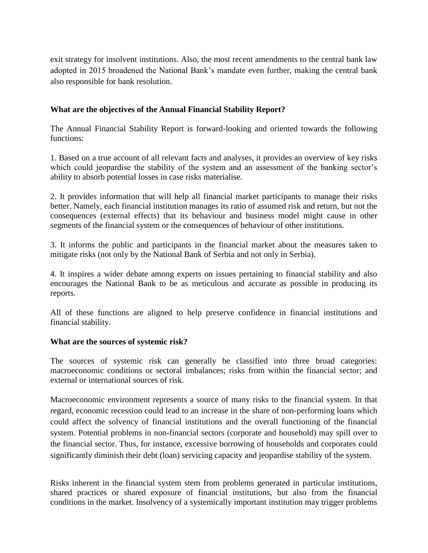exit strategy for insolvent institutions. Also, the most recent amendments to the central bank law adopted in 2015 broadened the National Bank's mandate even further, making the central bank also responsible for bank resolution.

## **What are the objectives of the Annual Financial Stability Report?**

The Annual Financial Stability Report is forward-looking and oriented towards the following functions:

1. Based on a true account of all relevant facts and analyses, it provides an overview of key risks which could jeopardise the stability of the system and an assessment of the banking sector's ability to absorb potential losses in case risks materialise.

2. It provides information that will help all financial market participants to manage their risks better. Namely, each financial institution manages its ratio of assumed risk and return, but not the consequences (external effects) that its behaviour and business model might cause in other segments of the financial system or the consequences of behaviour of other institutions.

3. It informs the public and participants in the financial market about the measures taken to mitigate risks (not only by the National Bank of Serbia and not only in Serbia).

4. It inspires a wider debate among experts on issues pertaining to financial stability and also encourages the National Bank to be as meticulous and accurate as possible in producing its reports.

All of these functions are aligned to help preserve confidence in financial institutions and financial stability.

#### **What are the sources of systemic risk?**

The sources of systemic risk can generally be classified into three broad categories: macroeconomic conditions or sectoral imbalances; risks from within the financial sector; and external or international sources of risk.

Macroeconomic environment represents a source of many risks to the financial system. In that regard, economic recession could lead to an increase in the share of non-performing loans which could affect the solvency of financial institutions and the overall functioning of the financial system. Potential problems in non-financial sectors (corporate and household) may spill over to the financial sector. Thus, for instance, excessive borrowing of households and corporates could significantly diminish their debt (loan) servicing capacity and jeopardise stability of the system.

Risks inherent in the financial system stem from problems generated in particular institutions, shared practices or shared exposure of financial institutions, but also from the financial conditions in the market. Insolvency of a systemically important institution may trigger problems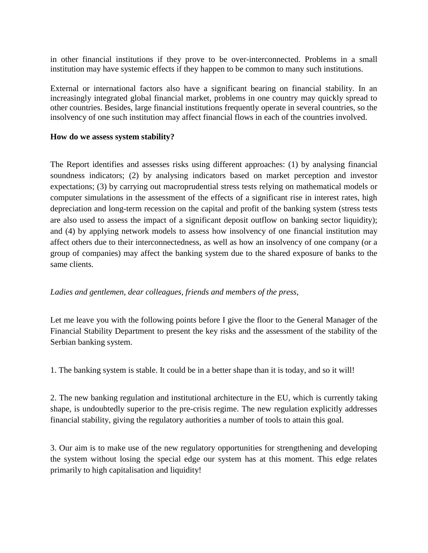in other financial institutions if they prove to be over-interconnected. Problems in a small institution may have systemic effects if they happen to be common to many such institutions.

External or international factors also have a significant bearing on financial stability. In an increasingly integrated global financial market, problems in one country may quickly spread to other countries. Besides, large financial institutions frequently operate in several countries, so the insolvency of one such institution may affect financial flows in each of the countries involved.

## **How do we assess system stability?**

The Report identifies and assesses risks using different approaches: (1) by analysing financial soundness indicators; (2) by analysing indicators based on market perception and investor expectations; (3) by carrying out macroprudential stress tests relying on mathematical models or computer simulations in the assessment of the effects of a significant rise in interest rates, high depreciation and long-term recession on the capital and profit of the banking system (stress tests are also used to assess the impact of a significant deposit outflow on banking sector liquidity); and (4) by applying network models to assess how insolvency of one financial institution may affect others due to their interconnectedness, as well as how an insolvency of one company (or a group of companies) may affect the banking system due to the shared exposure of banks to the same clients.

# *Ladies and gentlemen, dear colleagues, friends and members of the press,*

Let me leave you with the following points before I give the floor to the General Manager of the Financial Stability Department to present the key risks and the assessment of the stability of the Serbian banking system.

1. The banking system is stable. It could be in a better shape than it is today, and so it will!

2. The new banking regulation and institutional architecture in the EU, which is currently taking shape, is undoubtedly superior to the pre-crisis regime. The new regulation explicitly addresses financial stability, giving the regulatory authorities a number of tools to attain this goal.

3. Our aim is to make use of the new regulatory opportunities for strengthening and developing the system without losing the special edge our system has at this moment. This edge relates primarily to high capitalisation and liquidity!